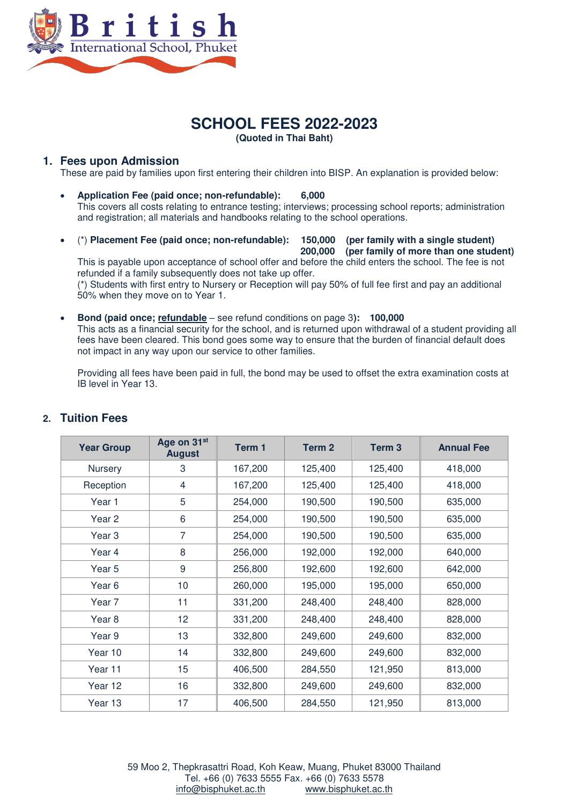

# **SCHOOL FEES 2022-2023 (Quoted in Thai Baht)**

#### **1. Fees upon Admission**

These are paid by families upon first entering their children into BISP. An explanation is provided below:

- **Application Fee (paid once; non-refundable): 6,000**  This covers all costs relating to entrance testing; interviews; processing school reports; administration and registration; all materials and handbooks relating to the school operations.
- (\*) **Placement Fee (paid once; non-refundable): 150,000 (per family with a single student) 200,000 (per family of more than one student)**

This is payable upon acceptance of school offer and before the child enters the school. The fee is not refunded if a family subsequently does not take up offer. (\*) Students with first entry to Nursery or Reception will pay 50% of full fee first and pay an additional 50% when they move on to Year 1.

 **Bond (paid once; refundable** – see refund conditions on page 3**): 100,000**  This acts as a financial security for the school, and is returned upon withdrawal of a student providing all fees have been cleared. This bond goes some way to ensure that the burden of financial default does not impact in any way upon our service to other families.

Providing all fees have been paid in full, the bond may be used to offset the extra examination costs at IB level in Year 13.

| <b>Year Group</b> | Age on 31 <sup>st</sup><br><b>August</b> | Term 1  | Term 2  | Term <sub>3</sub> | <b>Annual Fee</b> |
|-------------------|------------------------------------------|---------|---------|-------------------|-------------------|
| Nursery           | 3                                        | 167,200 | 125,400 | 125,400           | 418,000           |
| Reception         | $\overline{4}$                           | 167,200 | 125,400 | 125,400           | 418,000           |
| Year 1            | 5                                        | 254,000 | 190,500 | 190,500           | 635,000           |
| Year 2            | 6                                        | 254,000 | 190,500 | 190,500           | 635,000           |
| Year 3            | 7                                        | 254,000 | 190,500 | 190,500           | 635,000           |
| Year 4            | 8                                        | 256,000 | 192,000 | 192,000           | 640,000           |
| Year 5            | 9                                        | 256,800 | 192,600 | 192,600           | 642,000           |
| Year 6            | 10                                       | 260,000 | 195,000 | 195,000           | 650,000           |
| Year 7            | 11                                       | 331,200 | 248,400 | 248,400           | 828,000           |
| Year 8            | 12                                       | 331,200 | 248,400 | 248,400           | 828,000           |
| Year 9            | 13                                       | 332,800 | 249,600 | 249,600           | 832,000           |
| Year 10           | 14                                       | 332,800 | 249,600 | 249,600           | 832,000           |
| Year 11           | 15                                       | 406,500 | 284,550 | 121,950           | 813,000           |
| Year 12           | 16                                       | 332,800 | 249,600 | 249,600           | 832,000           |
| Year 13           | 17                                       | 406,500 | 284,550 | 121,950           | 813,000           |

# **2. Tuition Fees**

59 Moo 2, Thepkrasattri Road, Koh Keaw, Muang, Phuket 83000 Thailand Tel. +66 (0) 7633 5555 Fax. +66 (0) 7633 5578 [info@bisphuket.ac.th](mailto:info@bisphuket.ac.th) [www.bisphuket.ac.th](http://www.bisphuket.ac.th/)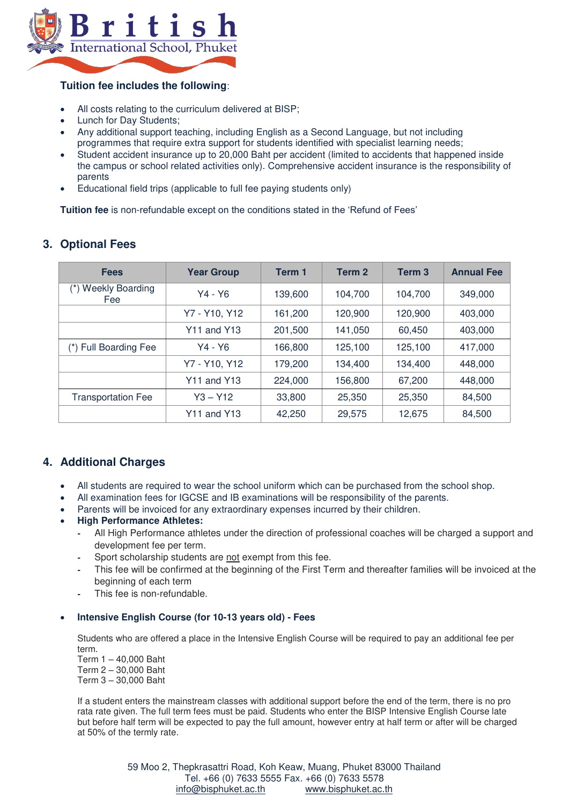

## **Tuition fee includes the following**:

- All costs relating to the curriculum delivered at BISP;
- Lunch for Day Students;
- Any additional support teaching, including English as a Second Language, but not including programmes that require extra support for students identified with specialist learning needs;
- Student accident insurance up to 20,000 Baht per accident (limited to accidents that happened inside the campus or school related activities only). Comprehensive accident insurance is the responsibility of parents
- Educational field trips (applicable to full fee paying students only)

**Tuition fee** is non-refundable except on the conditions stated in the 'Refund of Fees'

| <b>Fees</b>                            | <b>Year Group</b>  | Term 1  | Term <sub>2</sub> | Term <sub>3</sub> | <b>Annual Fee</b> |
|----------------------------------------|--------------------|---------|-------------------|-------------------|-------------------|
| <b>Weekly Boarding</b><br>$(*)$<br>Fee | Y4 - Y6            | 139,600 | 104.700           | 104.700           | 349,000           |
|                                        | Y7 - Y10, Y12      | 161,200 | 120,900           | 120,900           | 403,000           |
|                                        | <b>Y11 and Y13</b> | 201,500 | 141,050           | 60,450            | 403,000           |
| (*) Full Boarding Fee                  | Y4 - Y6            | 166,800 | 125,100           | 125,100           | 417,000           |
|                                        | Y7 - Y10, Y12      | 179,200 | 134,400           | 134,400           | 448,000           |
|                                        | <b>Y11 and Y13</b> | 224,000 | 156,800           | 67,200            | 448,000           |
| <b>Transportation Fee</b>              | $Y3 - Y12$         | 33,800  | 25,350            | 25,350            | 84,500            |
|                                        | <b>Y11 and Y13</b> | 42,250  | 29,575            | 12,675            | 84,500            |

## **3. Optional Fees**

# **4. Additional Charges**

- All students are required to wear the school uniform which can be purchased from the school shop.
- All examination fees for IGCSE and IB examinations will be responsibility of the parents.
- Parents will be invoiced for any extraordinary expenses incurred by their children.

#### **High Performance Athletes:**

- **-** All High Performance athletes under the direction of professional coaches will be charged a support and development fee per term.
- **-** Sport scholarship students are not exempt from this fee.
- **-** This fee will be confirmed at the beginning of the First Term and thereafter families will be invoiced at the beginning of each term
- **-** This fee is non-refundable.

#### **Intensive English Course (for 10-13 years old) - Fees**

Students who are offered a place in the Intensive English Course will be required to pay an additional fee per term.

Term 1 – 40,000 Baht Term 2 – 30,000 Baht Term 3 – 30,000 Baht

If a student enters the mainstream classes with additional support before the end of the term, there is no pro rata rate given. The full term fees must be paid. Students who enter the BISP Intensive English Course late but before half term will be expected to pay the full amount, however entry at half term or after will be charged at 50% of the termly rate.

> 59 Moo 2, Thepkrasattri Road, Koh Keaw, Muang, Phuket 83000 Thailand Tel. +66 (0) 7633 5555 Fax. +66 (0) 7633 5578 [info@bisphuket.ac.th](mailto:info@bisphuket.ac.th) [www.bisphuket.ac.th](http://www.bisphuket.ac.th/)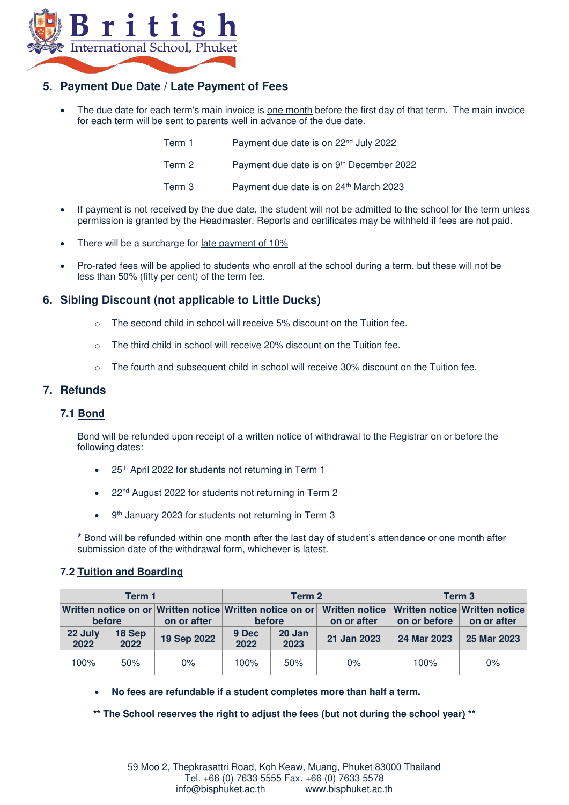

## **5. Payment Due Date / Late Payment of Fees**

 The due date for each term's main invoice is one month before the first day of that term. The main invoice for each term will be sent to parents well in advance of the due date.

| Term 1 | Payment due date is on 22 <sup>nd</sup> July 2022 |
|--------|---------------------------------------------------|
| Term 2 | Payment due date is on 9th December 2022          |
| Term 3 | Payment due date is on 24th March 2023            |

- If payment is not received by the due date, the student will not be admitted to the school for the term unless permission is granted by the Headmaster. Reports and certificates may be withheld if fees are not paid.
- There will be a surcharge for late payment of 10%
- Pro-rated fees will be applied to students who enroll at the school during a term, but these will not be less than 50% (fifty per cent) of the term fee.

## **6. Sibling Discount (not applicable to Little Ducks)**

- $\circ$  The second child in school will receive 5% discount on the Tuition fee.
- o The third child in school will receive 20% discount on the Tuition fee.
- $\circ$  The fourth and subsequent child in school will receive 30% discount on the Tuition fee.

## **7. Refunds**

## **7.1 Bond**

Bond will be refunded upon receipt of a written notice of withdrawal to the Registrar on or before the following dates:

- 25th April 2022 for students not returning in Term 1
- 22<sup>nd</sup> August 2022 for students not returning in Term 2
- 9<sup>th</sup> January 2023 for students not returning in Term 3

**\*** Bond will be refunded within one month after the last day of student's attendance or one month after submission date of the withdrawal form, whichever is latest.

#### **7.2 Tuition and Boarding**

| Term 1          |                |             | Term 2                                                             |                |                                                             | Term 3       |             |
|-----------------|----------------|-------------|--------------------------------------------------------------------|----------------|-------------------------------------------------------------|--------------|-------------|
| before          |                | on or after | Written notice on or Written notice Written notice on or<br>before |                | Written notice Written notice Written notice<br>on or after | on or before | on or after |
| 22 July<br>2022 | 18 Sep<br>2022 | 19 Sep 2022 | 9 Dec<br>2022                                                      | 20 Jan<br>2023 | 21 Jan 2023                                                 | 24 Mar 2023  | 25 Mar 2023 |
| 100%            | 50%            | $0\%$       | 100%                                                               | 50%            | 0%                                                          | 100%         | $0\%$       |

**No fees are refundable if a student completes more than half a term.** 

**\*\* The School reserves the right to adjust the fees (but not during the school year) \*\***